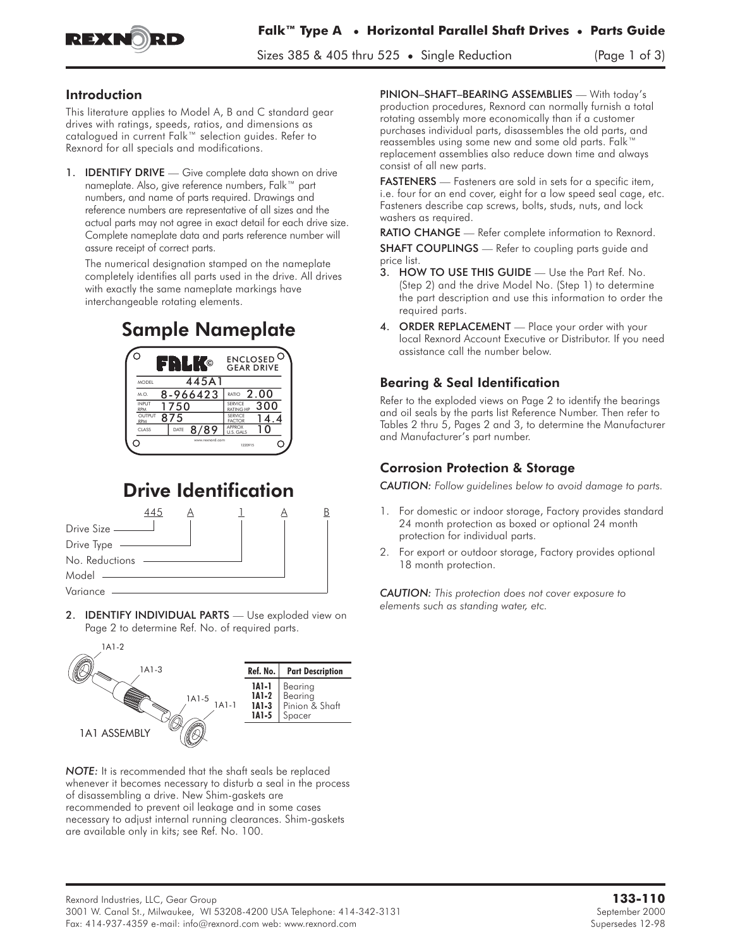

Sizes 385 & 405 thru 525 • Single Reduction (Page 1 of 3)

#### Introduction

This literature applies to Model A, B and C standard gear drives with ratings, speeds, ratios, and dimensions as catalogued in current Falk™ selection guides. Refer to Rexnord for all specials and modifications.

1. **IDENTIFY DRIVE** — Give complete data shown on drive nameplate. Also, give reference numbers, Falk™ part numbers, and name of parts required. Drawings and reference numbers are representative of all sizes and the actual parts may not agree in exact detail for each drive size. Complete nameplate data and parts reference number will assure receipt of correct parts.

The numerical designation stamped on the nameplate completely identifies all parts used in the drive. All drives with exactly the same nameplate markings have interchangeable rotating elements.

# Sample Nameplate



# Drive Identification



2. **IDENTIFY INDIVIDUAL PARTS** — Use exploded view on Page 2 to determine Ref. No. of required parts.



*NOTE:* It is recommended that the shaft seals be replaced whenever it becomes necessary to disturb a seal in the process of disassembling a drive. New Shim-gaskets are recommended to prevent oil leakage and in some cases necessary to adjust internal running clearances. Shim-gaskets are available only in kits; see Ref. No. 100.

PINION–SHAFT–BEARING ASSEMBLIES — With today's production procedures, Rexnord can normally furnish a total rotating assembly more economically than if a customer purchases individual parts, disassembles the old parts, and reassembles using some new and some old parts. Falk™ replacement assemblies also reduce down time and always consist of all new parts.

FASTENERS — Fasteners are sold in sets for a specific item, i.e. four for an end cover, eight for a low speed seal cage, etc. Fasteners describe cap screws, bolts, studs, nuts, and lock washers as required.

RATIO CHANGE - Refer complete information to Rexnord. SHAFT COUPLINGS - Refer to coupling parts guide and price list.

- 3. HOW TO USE THIS GUIDE Use the Part Ref. No. (Step 2) and the drive Model No. (Step 1) to determine the part description and use this information to order the required parts.
- 4. ORDER REPLACEMENT Place your order with your local Rexnord Account Executive or Distributor. If you need assistance call the number below.

# Bearing & Seal Identification

Refer to the exploded views on Page 2 to identify the bearings and oil seals by the parts list Reference Number. Then refer to Tables 2 thru 5, Pages 2 and 3, to determine the Manufacturer and Manufacturer's part number.

## Corrosion Protection & Storage

*CAUTION: Follow guidelines below to avoid damage to parts.*

- 1. For domestic or indoor storage, Factory provides standard 24 month protection as boxed or optional 24 month protection for individual parts.
- 2. For export or outdoor storage, Factory provides optional 18 month protection.

*CAUTION: This protection does not cover exposure to elements such as standing water, etc.*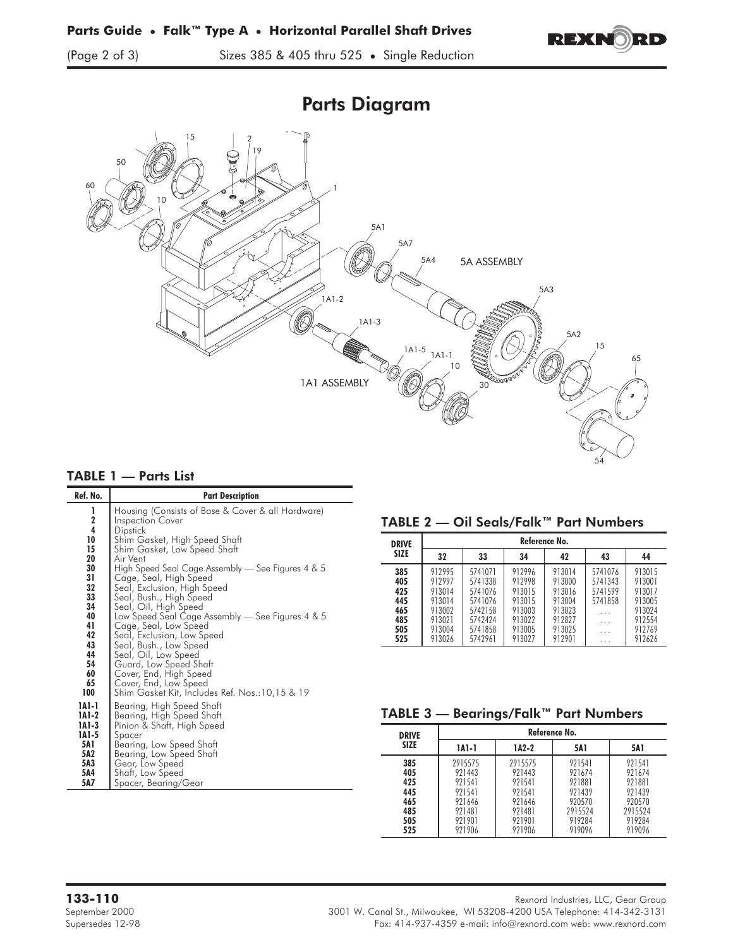



### TABLE 1 — Parts List

| Ref. No. | <b>Part Description</b>                           |
|----------|---------------------------------------------------|
| 1        | Housing (Consists of Base & Cover & all Hardware) |
| 2        | <b>Inspection Cover</b>                           |
| 4        | Dipstick                                          |
| 10       | Shim Gasket, High Speed Shaft                     |
| 15       | Shim Gasket, Low Speed Shaft                      |
| 20       | Air Vent                                          |
| 30       | High Speed Seal Cage Assembly — See Figures 4 & 5 |
| 31       | Cage, Seal, High Speed                            |
| 32       | Seal, Exclusion, High Speed                       |
| 33       | Seal, Bush., High Speed                           |
| 34       | Seal, Oil, High Speed                             |
| 40       | Low Speed Seal Cage Assembly — See Figures 4 & 5  |
| 41       | Cage, Seal, Low Speed                             |
| 42       | Seal, Exclusion, Low Speed                        |
| 43       | Seal, Bush., Low Speed                            |
| 44       | Seal, Oil, Low Speed                              |
| 54       | Guard, Low Speed Shaft                            |
| 60       | Cover, End, High Speed                            |
| 65       | Cover, End, Low Speed                             |
| 100      | Shim Gasket Kit, Includes Ret. Nos.:10,15 & 19    |
| 1A1-1    | Bearing, High Speed Shaft                         |
| 1A1-2    | Bearing, High Speed Shaft                         |
| 1A1-3    | Pinion & Shaft, High Speed                        |
| 1A1-5    | Spacer                                            |
| 5A1      | Bearing, Low Speed Shaft                          |
| 5A2      | Bearing, Low Speed Shaft                          |
| 5A3      | Gear, Low Speed                                   |
| 5A4      | Shaft, Low Speed                                  |
| 5A7      | Spacer, Bearing/Gear                              |

### TABLE 2 — Oil Seals/Falk™ Part Numbers

| <b>DRIVE</b>                                         | Reference No.                                                                |                                                                                      |                                                                              |                                                                              |                                                              |                                                                              |
|------------------------------------------------------|------------------------------------------------------------------------------|--------------------------------------------------------------------------------------|------------------------------------------------------------------------------|------------------------------------------------------------------------------|--------------------------------------------------------------|------------------------------------------------------------------------------|
| <b>SIZE</b>                                          | 32                                                                           | 33                                                                                   | 34                                                                           | 42                                                                           | 43                                                           | 44                                                                           |
| 385<br>405<br>425<br>445<br>465<br>485<br>505<br>525 | 912995<br>912997<br>913014<br>913014<br>913002<br>913021<br>913004<br>913026 | 5741071<br>5741338<br>5741076<br>5741076<br>5742158<br>5742424<br>5741858<br>5742961 | 912996<br>912998<br>913015<br>913015<br>913003<br>913022<br>913005<br>913027 | 913014<br>913000<br>913016<br>913004<br>913023<br>912827<br>913025<br>912901 | 5741076<br>5741343<br>5741599<br>5741858<br>.<br>.<br>.<br>. | 913015<br>913001<br>913017<br>913005<br>913024<br>912554<br>912769<br>912626 |

### TABLE 3 — Bearings/Falk™ Part Numbers

| <b>DRIVE</b> | Reference No. |         |         |            |  |  |
|--------------|---------------|---------|---------|------------|--|--|
| <b>SIZE</b>  | 1A1-1         | $1A2-2$ | 5A1     | <b>5A1</b> |  |  |
| 385          | 2915575       | 2915575 | 921541  | 921541     |  |  |
| 405          | 921443        | 921443  | 921674  | 921674     |  |  |
| 425          | 921541        | 921541  | 921881  | 921881     |  |  |
| 445          | 921541        | 921541  | 921439  | 921439     |  |  |
| 465          | 921646        | 921646  | 920570  | 920570     |  |  |
| 485          | 921481        | 921481  | 2915524 | 2915524    |  |  |
| 505          | 921901        | 921901  | 919284  | 919284     |  |  |
| 525          | 921906        | 921906  | 919096  | 919096     |  |  |

**133-110** Rexnord Industries, LLC, Gear Group

September 2000 3001 W. Canal St., Milwaukee, WI 53208-4200 USA Telephone: 414-342-3131 Supersedes 12-98 Fax: 414-937-4359 e-mail: info@rexnord.com web: www.rexnord.com